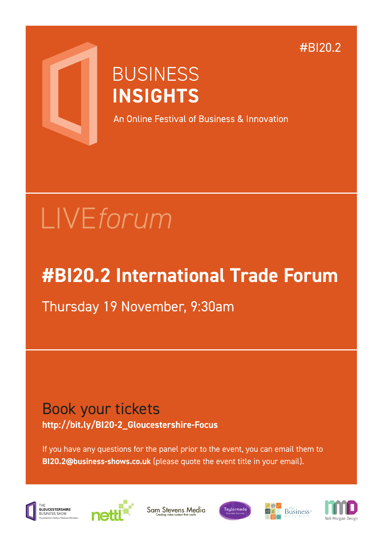#BI20.2



## **BUSINESS INSIGHTS**

An Online Festival of Business & Innovation

# LIVE*forum*

## **#BI20.2 International Trade Forum**

Thursday 19 November, 9:30am

### Book your tickets **http://bit.ly/BI20-2\_Gloucestershire-Focus**

If you have any questions for the panel prior to the event, you can email them to **BI20.2@business-shows.co.uk** (please quote the event title in your email).





Sam Stevens Media